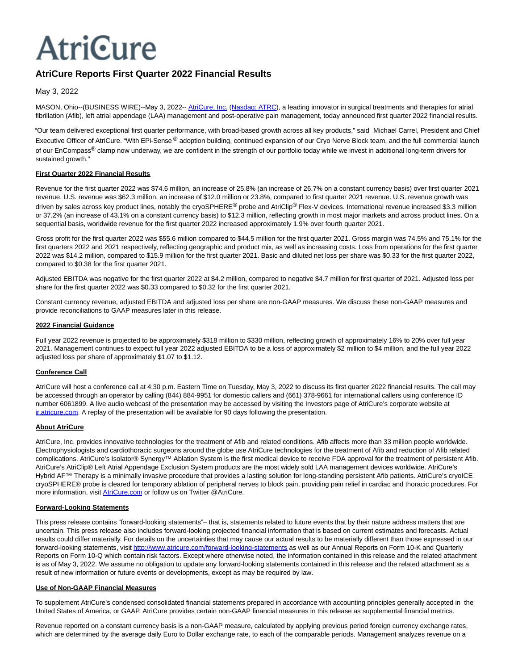# **AtriCure**

# **AtriCure Reports First Quarter 2022 Financial Results**

May 3, 2022

MASON, Ohio--(BUSINESS WIRE)--May 3, 2022-- [AtriCure, Inc.](https://cts.businesswire.com/ct/CT?id=smartlink&url=https%3A%2F%2Fwww.atricure.com%2F&esheet=52706419&newsitemid=20220503005997&lan=en-US&anchor=AtriCure%2C+Inc.&index=1&md5=65cdce1ef528b7f2260d2ac3ed8f9fa8) (Nasdag: ATRC), a leading innovator in surgical treatments and therapies for atrial fibrillation (Afib), left atrial appendage (LAA) management and post-operative pain management, today announced first quarter 2022 financial results.

"Our team delivered exceptional first quarter performance, with broad-based growth across all key products," said Michael Carrel, President and Chief Executive Officer of AtriCure. "With EPi-Sense ® adoption building, continued expansion of our Cryo Nerve Block team, and the full commercial launch of our EnCompass® clamp now underway, we are confident in the strength of our portfolio today while we invest in additional long-term drivers for sustained growth."

#### **First Quarter 2022 Financial Results**

Revenue for the first quarter 2022 was \$74.6 million, an increase of 25.8% (an increase of 26.7% on a constant currency basis) over first quarter 2021 revenue. U.S. revenue was \$62.3 million, an increase of \$12.0 million or 23.8%, compared to first quarter 2021 revenue. U.S. revenue growth was driven by sales across key product lines, notably the cryoSPHERE<sup>®</sup> probe and AtriClip<sup>®</sup> Flex-V devices. International revenue increased \$3.3 million or 37.2% (an increase of 43.1% on a constant currency basis) to \$12.3 million, reflecting growth in most major markets and across product lines. On a sequential basis, worldwide revenue for the first quarter 2022 increased approximately 1.9% over fourth quarter 2021.

Gross profit for the first quarter 2022 was \$55.6 million compared to \$44.5 million for the first quarter 2021. Gross margin was 74.5% and 75.1% for the first quarters 2022 and 2021 respectively, reflecting geographic and product mix, as well as increasing costs. Loss from operations for the first quarter 2022 was \$14.2 million, compared to \$15.9 million for the first quarter 2021. Basic and diluted net loss per share was \$0.33 for the first quarter 2022, compared to \$0.38 for the first quarter 2021.

Adjusted EBITDA was negative for the first quarter 2022 at \$4.2 million, compared to negative \$4.7 million for first quarter of 2021. Adjusted loss per share for the first quarter 2022 was \$0.33 compared to \$0.32 for the first quarter 2021.

Constant currency revenue, adjusted EBITDA and adjusted loss per share are non-GAAP measures. We discuss these non-GAAP measures and provide reconciliations to GAAP measures later in this release.

#### **2022 Financial Guidance**

Full year 2022 revenue is projected to be approximately \$318 million to \$330 million, reflecting growth of approximately 16% to 20% over full year 2021. Management continues to expect full year 2022 adjusted EBITDA to be a loss of approximately \$2 million to \$4 million, and the full year 2022 adjusted loss per share of approximately \$1.07 to \$1.12.

# **Conference Call**

AtriCure will host a conference call at 4:30 p.m. Eastern Time on Tuesday, May 3, 2022 to discuss its first quarter 2022 financial results. The call may be accessed through an operator by calling (844) 884-9951 for domestic callers and (661) 378-9661 for international callers using conference ID number 6061899. A live audio webcast of the presentation may be accessed by visiting the Investors page of AtriCure's corporate website at [ir.atricure.com.](http://ir.atricure.com/) A replay of the presentation will be available for 90 days following the presentation.

# **About AtriCure**

AtriCure, Inc. provides innovative technologies for the treatment of Afib and related conditions. Afib affects more than 33 million people worldwide. Electrophysiologists and cardiothoracic surgeons around the globe use AtriCure technologies for the treatment of Afib and reduction of Afib related complications. AtriCure's Isolator® Synergy™ Ablation System is the first medical device to receive FDA approval for the treatment of persistent Afib. AtriCure's AtriClip® Left Atrial Appendage Exclusion System products are the most widely sold LAA management devices worldwide. AtriCure's Hybrid AF™ Therapy is a minimally invasive procedure that provides a lasting solution for long-standing persistent Afib patients. AtriCure's cryoICE cryoSPHERE® probe is cleared for temporary ablation of peripheral nerves to block pain, providing pain relief in cardiac and thoracic procedures. For more information, visit [AtriCure.com o](http://atricure.com/)r follow us on Twitter @AtriCure.

#### **Forward-Looking Statements**

This press release contains "forward-looking statements"– that is, statements related to future events that by their nature address matters that are uncertain. This press release also includes forward-looking projected financial information that is based on current estimates and forecasts. Actual results could differ materially. For details on the uncertainties that may cause our actual results to be materially different than those expressed in our forward-looking statements, visit http://www.atricure.com/forward-looking-statements</u> as well as our Annual Reports on Form 10-K and Quarterly Reports on Form 10-Q which contain risk factors. Except where otherwise noted, the information contained in this release and the related attachment is as of May 3, 2022. We assume no obligation to update any forward-looking statements contained in this release and the related attachment as a result of new information or future events or developments, except as may be required by law.

#### **Use of Non-GAAP Financial Measures**

To supplement AtriCure's condensed consolidated financial statements prepared in accordance with accounting principles generally accepted in the United States of America, or GAAP, AtriCure provides certain non-GAAP financial measures in this release as supplemental financial metrics.

Revenue reported on a constant currency basis is a non-GAAP measure, calculated by applying previous period foreign currency exchange rates, which are determined by the average daily Euro to Dollar exchange rate, to each of the comparable periods. Management analyzes revenue on a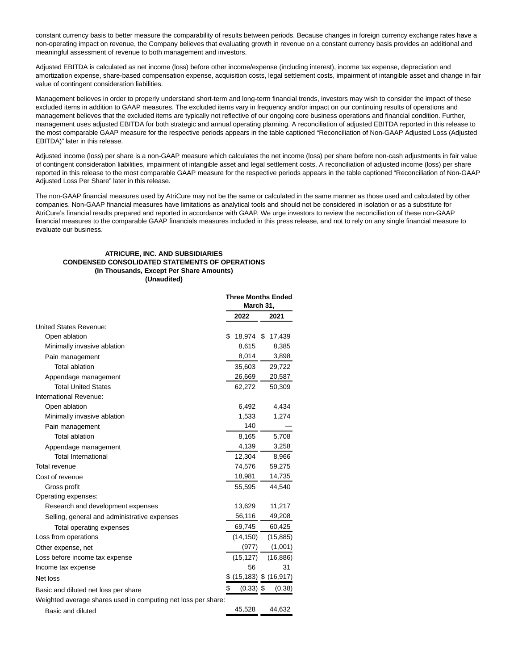constant currency basis to better measure the comparability of results between periods. Because changes in foreign currency exchange rates have a non-operating impact on revenue, the Company believes that evaluating growth in revenue on a constant currency basis provides an additional and meaningful assessment of revenue to both management and investors.

Adjusted EBITDA is calculated as net income (loss) before other income/expense (including interest), income tax expense, depreciation and amortization expense, share-based compensation expense, acquisition costs, legal settlement costs, impairment of intangible asset and change in fair value of contingent consideration liabilities.

Management believes in order to properly understand short-term and long-term financial trends, investors may wish to consider the impact of these excluded items in addition to GAAP measures. The excluded items vary in frequency and/or impact on our continuing results of operations and management believes that the excluded items are typically not reflective of our ongoing core business operations and financial condition. Further, management uses adjusted EBITDA for both strategic and annual operating planning. A reconciliation of adjusted EBITDA reported in this release to the most comparable GAAP measure for the respective periods appears in the table captioned "Reconciliation of Non-GAAP Adjusted Loss (Adjusted EBITDA)" later in this release.

Adjusted income (loss) per share is a non-GAAP measure which calculates the net income (loss) per share before non-cash adjustments in fair value of contingent consideration liabilities, impairment of intangible asset and legal settlement costs. A reconciliation of adjusted income (loss) per share reported in this release to the most comparable GAAP measure for the respective periods appears in the table captioned "Reconciliation of Non-GAAP Adjusted Loss Per Share" later in this release.

The non-GAAP financial measures used by AtriCure may not be the same or calculated in the same manner as those used and calculated by other companies. Non-GAAP financial measures have limitations as analytical tools and should not be considered in isolation or as a substitute for AtriCure's financial results prepared and reported in accordance with GAAP. We urge investors to review the reconciliation of these non-GAAP financial measures to the comparable GAAP financials measures included in this press release, and not to rely on any single financial measure to evaluate our business.

#### **ATRICURE, INC. AND SUBSIDIARIES CONDENSED CONSOLIDATED STATEMENTS OF OPERATIONS (In Thousands, Except Per Share Amounts) (Unaudited)**

|                                                               | <b>Three Months Ended</b><br>March 31, |                           |    |           |
|---------------------------------------------------------------|----------------------------------------|---------------------------|----|-----------|
|                                                               |                                        | 2022                      |    | 2021      |
| United States Revenue:                                        |                                        |                           |    |           |
| Open ablation                                                 | S                                      | 18,974                    | \$ | 17,439    |
| Minimally invasive ablation                                   |                                        | 8,615                     |    | 8,385     |
| Pain management                                               |                                        | 8,014                     |    | 3,898     |
| <b>Total ablation</b>                                         |                                        | 35,603                    |    | 29,722    |
| Appendage management                                          |                                        | 26,669                    |    | 20,587    |
| <b>Total United States</b>                                    |                                        | 62,272                    |    | 50,309    |
| International Revenue:                                        |                                        |                           |    |           |
| Open ablation                                                 |                                        | 6,492                     |    | 4,434     |
| Minimally invasive ablation                                   |                                        | 1,533                     |    | 1,274     |
| Pain management                                               |                                        | 140                       |    |           |
| <b>Total ablation</b>                                         |                                        | 8,165                     |    | 5,708     |
| Appendage management                                          |                                        | 4,139                     |    | 3,258     |
| <b>Total International</b>                                    |                                        | 12,304                    |    | 8,966     |
| Total revenue                                                 |                                        | 74,576                    |    | 59,275    |
| Cost of revenue                                               |                                        | 18,981                    |    | 14,735    |
| Gross profit                                                  |                                        | 55,595                    |    | 44,540    |
| Operating expenses:                                           |                                        |                           |    |           |
| Research and development expenses                             |                                        | 13,629                    |    | 11,217    |
| Selling, general and administrative expenses                  |                                        | 56,116                    |    | 49,208    |
| Total operating expenses                                      |                                        | 69,745                    |    | 60,425    |
| Loss from operations                                          |                                        | (14, 150)                 |    | (15, 885) |
| Other expense, net                                            |                                        | (977)                     |    | (1,001)   |
| Loss before income tax expense                                |                                        | (15, 127)                 |    | (16, 886) |
| Income tax expense                                            |                                        | 56                        |    | 31        |
| Net loss                                                      |                                        | $$$ (15,183) $$$ (16,917) |    |           |
| Basic and diluted net loss per share                          | \$                                     | $(0.33)$ \$               |    | (0.38)    |
| Weighted average shares used in computing net loss per share: |                                        |                           |    |           |
| Basic and diluted                                             |                                        | 45,528                    |    | 44,632    |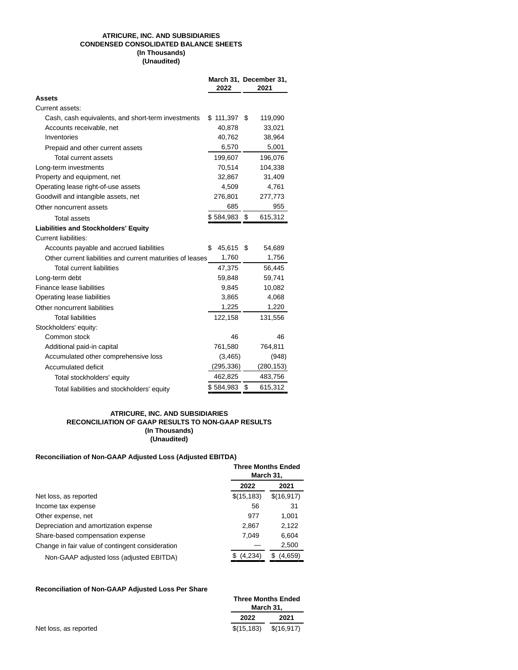#### **ATRICURE, INC. AND SUBSIDIARIES CONDENSED CONSOLIDATED BALANCE SHEETS (In Thousands) (Unaudited)**

|                                                            | 2022        | March 31, December 31,<br>2021 |
|------------------------------------------------------------|-------------|--------------------------------|
| <b>Assets</b>                                              |             |                                |
| Current assets:                                            |             |                                |
| Cash, cash equivalents, and short-term investments         | \$111,397   | 119,090<br>\$                  |
| Accounts receivable, net                                   | 40,878      | 33,021                         |
| Inventories                                                | 40,762      | 38,964                         |
| Prepaid and other current assets                           | 6,570       | 5,001                          |
| Total current assets                                       | 199,607     | 196,076                        |
| Long-term investments                                      | 70,514      | 104,338                        |
| Property and equipment, net                                | 32,867      | 31,409                         |
| Operating lease right-of-use assets                        | 4,509       | 4,761                          |
| Goodwill and intangible assets, net                        | 276,801     | 277,773                        |
| Other noncurrent assets                                    | 685         | 955                            |
| <b>Total assets</b>                                        | \$584,983   | 615,312<br>\$                  |
| <b>Liabilities and Stockholders' Equity</b>                |             |                                |
| <b>Current liabilities:</b>                                |             |                                |
| Accounts payable and accrued liabilities                   | S<br>45,615 | \$<br>54,689                   |
| Other current liabilities and current maturities of leases | 1,760       | 1,756                          |
| <b>Total current liabilities</b>                           | 47.375      | 56,445                         |
| Long-term debt                                             | 59,848      | 59,741                         |
| Finance lease liabilities                                  | 9,845       | 10,082                         |
| Operating lease liabilities                                | 3,865       | 4,068                          |
| Other noncurrent liabilities                               | 1,225       | 1,220                          |
| <b>Total liabilities</b>                                   | 122,158     | 131,556                        |
| Stockholders' equity:                                      |             |                                |
| Common stock                                               | 46          | 46                             |
| Additional paid-in capital                                 | 761,580     | 764,811                        |
| Accumulated other comprehensive loss                       | (3, 465)    | (948)                          |
| <b>Accumulated deficit</b>                                 | (295, 336)  | (280, 153)                     |
| Total stockholders' equity                                 | 462,825     | 483,756                        |
| Total liabilities and stockholders' equity                 | \$584,983   | \$<br>615,312                  |

#### **ATRICURE, INC. AND SUBSIDIARIES RECONCILIATION OF GAAP RESULTS TO NON-GAAP RESULTS (In Thousands) (Unaudited)**

# **Reconciliation of Non-GAAP Adjusted Loss (Adjusted EBITDA)**

|                                                  |             | <b>Three Months Ended</b><br>March 31, |  |  |
|--------------------------------------------------|-------------|----------------------------------------|--|--|
|                                                  | 2022        | 2021                                   |  |  |
| Net loss, as reported                            | \$(15, 183) | \$(16,917)                             |  |  |
| Income tax expense                               | 56          | 31                                     |  |  |
| Other expense, net                               | 977         | 1.001                                  |  |  |
| Depreciation and amortization expense            | 2,867       | 2.122                                  |  |  |
| Share-based compensation expense                 | 7.049       | 6,604                                  |  |  |
| Change in fair value of contingent consideration |             | 2,500                                  |  |  |
| Non-GAAP adjusted loss (adjusted EBITDA)         | (4,234)     | (4,659)                                |  |  |

# **Reconciliation of Non-GAAP Adjusted Loss Per Share**

|                           | <b>Three Months Ended</b> |  |  |
|---------------------------|---------------------------|--|--|
|                           | March 31,                 |  |  |
| 2022                      | 2021                      |  |  |
| $$(15, 183)$ $$(16, 917)$ |                           |  |  |
|                           |                           |  |  |